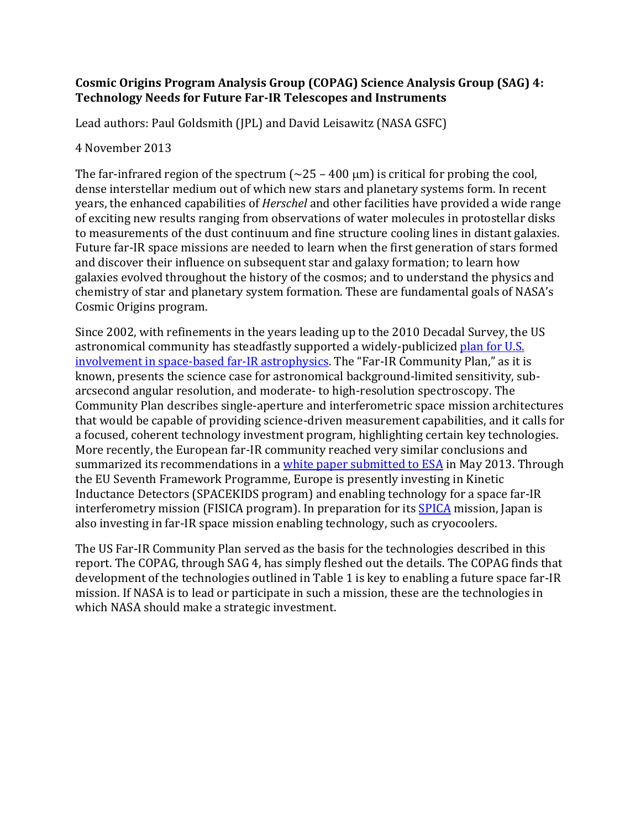## **Cosmic Origins Program Analysis Group (COPAG) Science Analysis Group (SAG) 4: Technology Needs for Future Far-IR Telescopes and Instruments**

Lead authors: Paul Goldsmith (JPL) and David Leisawitz (NASA GSFC)

## 4 November 2013

The far-infrared region of the spectrum  $(\sim 25 - 400 \,\mu m)$  is critical for probing the cool, dense interstellar medium out of which new stars and planetary systems form. In recent years, the enhanced capabilities of *Herschel* and other facilities have provided a wide range of exciting new results ranging from observations of water molecules in protostellar disks to measurements of the dust continuum and fine structure cooling lines in distant galaxies. Future far-IR space missions are needed to learn when the first generation of stars formed and discover their influence on subsequent star and galaxy formation; to learn how galaxies evolved throughout the history of the cosmos; and to understand the physics and chemistry of star and planetary system formation. These are fundamental goals of NASA's Cosmic Origins program.

Since 2002, with refinements in the years leading up to the 2010 Decadal Survey, the US astronomical community has steadfastly supported a widely-publicize[d plan for U.S.](http://www.ipac.caltech.edu/pdf/FIR-SMM_Crosscutting_Whitepaper.pdf)  [involvement in space-based far-IR astrophysics.](http://www.ipac.caltech.edu/pdf/FIR-SMM_Crosscutting_Whitepaper.pdf) The "Far-IR Community Plan," as it is known, presents the science case for astronomical background-limited sensitivity, subarcsecond angular resolution, and moderate- to high-resolution spectroscopy. The Community Plan describes single-aperture and interferometric space mission architectures that would be capable of providing science-driven measurement capabilities, and it calls for a focused, coherent technology investment program, highlighting certain key technologies. More recently, the European far-IR community reached very similar conclusions and summarized its recommendations in [a white paper submitted to ESA](http://www.firi.eu/) in May 2013. Through the EU Seventh Framework Programme, Europe is presently investing in Kinetic Inductance Detectors (SPACEKIDS program) and enabling technology for a space far-IR interferometry mission (FISICA program). In preparation for its [SPICA](http://www.ir.isas.jaxa.jp/SPICA/SPICA_HP/index_English.html) mission, Japan is also investing in far-IR space mission enabling technology, such as cryocoolers.

The US Far-IR Community Plan served as the basis for the technologies described in this report. The COPAG, through SAG 4, has simply fleshed out the details. The COPAG finds that development of the technologies outlined in Table 1 is key to enabling a future space far-IR mission. If NASA is to lead or participate in such a mission, these are the technologies in which NASA should make a strategic investment.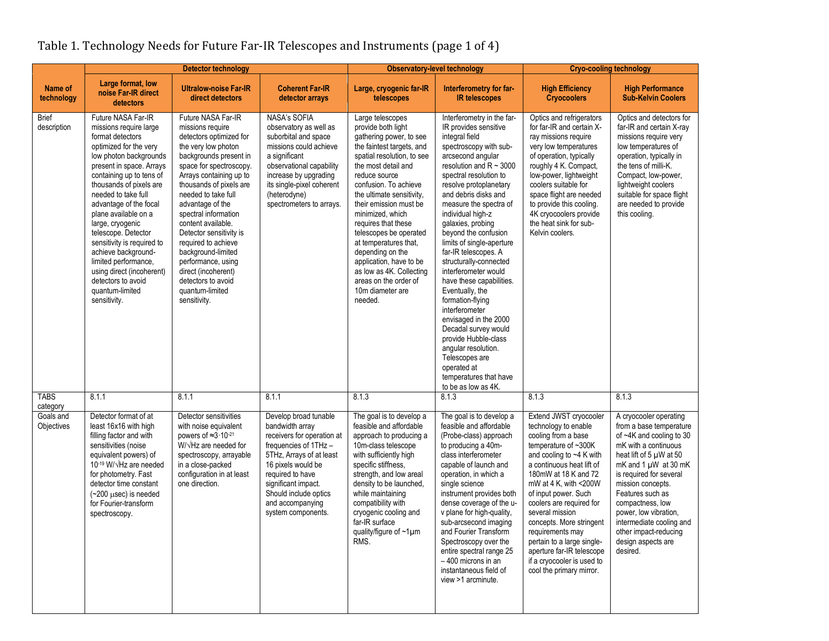|  | Table 1. Technology Needs for Future Far-IR Telescopes and Instruments (page 1 of 4) |
|--|--------------------------------------------------------------------------------------|
|  |                                                                                      |

|                             | Detector technology                                                                                                                                                                                                                                                                                                                                                                                                                                                                            |                                                                                                                                                                                                                                                                                                                                                                                                                                                                            |                                                                                                                                                                                                                                                                 | <b>Observatory-level technology</b>                                                                                                                                                                                                                                                                                                                                                                                                                                                   |                                                                                                                                                                                                                                                                                                                                                                                                                                                                                                                                                                                                                                                                                                            | <b>Cryo-cooling technology</b>                                                                                                                                                                                                                                                                                                                                                                                                                            |                                                                                                                                                                                                                                                                                                                                                                       |
|-----------------------------|------------------------------------------------------------------------------------------------------------------------------------------------------------------------------------------------------------------------------------------------------------------------------------------------------------------------------------------------------------------------------------------------------------------------------------------------------------------------------------------------|----------------------------------------------------------------------------------------------------------------------------------------------------------------------------------------------------------------------------------------------------------------------------------------------------------------------------------------------------------------------------------------------------------------------------------------------------------------------------|-----------------------------------------------------------------------------------------------------------------------------------------------------------------------------------------------------------------------------------------------------------------|---------------------------------------------------------------------------------------------------------------------------------------------------------------------------------------------------------------------------------------------------------------------------------------------------------------------------------------------------------------------------------------------------------------------------------------------------------------------------------------|------------------------------------------------------------------------------------------------------------------------------------------------------------------------------------------------------------------------------------------------------------------------------------------------------------------------------------------------------------------------------------------------------------------------------------------------------------------------------------------------------------------------------------------------------------------------------------------------------------------------------------------------------------------------------------------------------------|-----------------------------------------------------------------------------------------------------------------------------------------------------------------------------------------------------------------------------------------------------------------------------------------------------------------------------------------------------------------------------------------------------------------------------------------------------------|-----------------------------------------------------------------------------------------------------------------------------------------------------------------------------------------------------------------------------------------------------------------------------------------------------------------------------------------------------------------------|
| Name of<br>technology       | Large format, low<br>noise Far-IR direct<br>detectors                                                                                                                                                                                                                                                                                                                                                                                                                                          | <b>Ultralow-noise Far-IR</b><br>direct detectors                                                                                                                                                                                                                                                                                                                                                                                                                           | <b>Coherent Far-IR</b><br>detector arrays                                                                                                                                                                                                                       | Large, cryogenic far-IR<br>telescopes                                                                                                                                                                                                                                                                                                                                                                                                                                                 | Interferometry for far-<br><b>IR telescopes</b>                                                                                                                                                                                                                                                                                                                                                                                                                                                                                                                                                                                                                                                            | <b>High Efficiency</b><br><b>Cryocoolers</b>                                                                                                                                                                                                                                                                                                                                                                                                              | <b>High Performance</b><br><b>Sub-Kelvin Coolers</b>                                                                                                                                                                                                                                                                                                                  |
| <b>Brief</b><br>description | Future NASA Far-IR<br>missions require large<br>format detectors<br>optimized for the very<br>low photon backgrounds<br>present in space. Arrays<br>containing up to tens of<br>thousands of pixels are<br>needed to take full<br>advantage of the focal<br>plane available on a<br>large, cryogenic<br>telescope. Detector<br>sensitivity is required to<br>achieve background-<br>limited performance,<br>using direct (incoherent)<br>detectors to avoid<br>quantum-limited<br>sensitivity. | Future NASA Far-IR<br>missions require<br>detectors optimized for<br>the very low photon<br>backgrounds present in<br>space for spectroscopy.<br>Arrays containing up to<br>thousands of pixels are<br>needed to take full<br>advantage of the<br>spectral information<br>content available.<br>Detector sensitivity is<br>required to achieve<br>background-limited<br>performance, using<br>direct (incoherent)<br>detectors to avoid<br>quantum-limited<br>sensitivity. | <b>NASA's SOFIA</b><br>observatory as well as<br>suborbital and space<br>missions could achieve<br>a significant<br>observational capability<br>increase by upgrading<br>its single-pixel coherent<br>(heterodyne)<br>spectrometers to arrays.                  | Large telescopes<br>provide both light<br>gathering power, to see<br>the faintest targets, and<br>spatial resolution, to see<br>the most detail and<br>reduce source<br>confusion. To achieve<br>the ultimate sensitivity.<br>their emission must be<br>minimized, which<br>requires that these<br>telescopes be operated<br>at temperatures that,<br>depending on the<br>application, have to be<br>as low as 4K. Collecting<br>areas on the order of<br>10m diameter are<br>needed. | Interferometry in the far-<br>IR provides sensitive<br>integral field<br>spectroscopy with sub-<br>arcsecond angular<br>resolution and $R \sim 3000$<br>spectral resolution to<br>resolve protoplanetary<br>and debris disks and<br>measure the spectra of<br>individual high-z<br>galaxies, probing<br>beyond the confusion<br>limits of single-aperture<br>far-IR telescopes. A<br>structurally-connected<br>interferometer would<br>have these capabilities.<br>Eventually, the<br>formation-flying<br>interferometer<br>envisaged in the 2000<br>Decadal survey would<br>provide Hubble-class<br>angular resolution.<br>Telescopes are<br>operated at<br>temperatures that have<br>to be as low as 4K. | Optics and refrigerators<br>for far-IR and certain X-<br>ray missions require<br>very low temperatures<br>of operation, typically<br>roughly 4 K. Compact,<br>low-power, lightweight<br>coolers suitable for<br>space flight are needed<br>to provide this cooling.<br>4K cryocoolers provide<br>the heat sink for sub-<br>Kelvin coolers.                                                                                                                | Optics and detectors for<br>far-IR and certain X-ray<br>missions require very<br>low temperatures of<br>operation, typically in<br>the tens of milli-K.<br>Compact, low-power,<br>lightweight coolers<br>suitable for space flight<br>are needed to provide<br>this cooling.                                                                                          |
| <b>TABS</b><br>category     | 8.1.1                                                                                                                                                                                                                                                                                                                                                                                                                                                                                          | 8.1.1                                                                                                                                                                                                                                                                                                                                                                                                                                                                      | 8.1.1                                                                                                                                                                                                                                                           | 8.1.3                                                                                                                                                                                                                                                                                                                                                                                                                                                                                 | 8.1.3                                                                                                                                                                                                                                                                                                                                                                                                                                                                                                                                                                                                                                                                                                      | 8.1.3                                                                                                                                                                                                                                                                                                                                                                                                                                                     | 8.1.3                                                                                                                                                                                                                                                                                                                                                                 |
| Goals and<br>Objectives     | Detector format of at<br>least 16x16 with high<br>filling factor and with<br>sensitivities (noise<br>equivalent powers) of<br>10-19 W/ VHz are needed<br>for photometry. Fast<br>detector time constant<br>$(-200 \text{ }\mu\text{sec})$ is needed<br>for Fourier-transform<br>spectroscopy.                                                                                                                                                                                                  | Detector sensitivities<br>with noise equivalent<br>powers of $\approx 3.10^{-21}$<br>W/√Hz are needed for<br>spectroscopy, arrayable<br>in a close-packed<br>configuration in at least<br>one direction.                                                                                                                                                                                                                                                                   | Develop broad tunable<br>bandwidth array<br>receivers for operation at<br>frequencies of 1THz -<br>5THz, Arrays of at least<br>16 pixels would be<br>required to have<br>significant impact.<br>Should include optics<br>and accompanying<br>system components. | The goal is to develop a<br>feasible and affordable<br>approach to producing a<br>10m-class telescope<br>with sufficiently high<br>specific stiffness,<br>strength, and low areal<br>density to be launched,<br>while maintaining<br>compatibility with<br>cryogenic cooling and<br>far-IR surface<br>quality/figure of ~1µm<br>RMS.                                                                                                                                                  | The goal is to develop a<br>feasible and affordable<br>(Probe-class) approach<br>to producing a 40m-<br>class interferometer<br>capable of launch and<br>operation, in which a<br>single science<br>instrument provides both<br>dense coverage of the u-<br>v plane for high-quality,<br>sub-arcsecond imaging<br>and Fourier Transform<br>Spectroscopy over the<br>entire spectral range 25<br>$-400$ microns in an<br>instantaneous field of<br>view >1 arcminute.                                                                                                                                                                                                                                       | Extend JWST cryocooler<br>technology to enable<br>cooling from a base<br>temperature of ~300K<br>and cooling to $\neg$ 4 K with<br>a continuous heat lift of<br>180mW at 18 K and 72<br>mW at 4 K, with <200W<br>of input power. Such<br>coolers are required for<br>several mission<br>concepts. More stringent<br>requirements may<br>pertain to a large single-<br>aperture far-IR telescope<br>if a cryocooler is used to<br>cool the primary mirror. | A cryocooler operating<br>from a base temperature<br>of ~4K and cooling to 30<br>mK with a continuous<br>heat lift of 5 µW at 50<br>mK and $1 \mu W$ at 30 mK<br>is required for several<br>mission concepts.<br>Features such as<br>compactness, low<br>power, low vibration,<br>intermediate cooling and<br>other impact-reducing<br>design aspects are<br>desired. |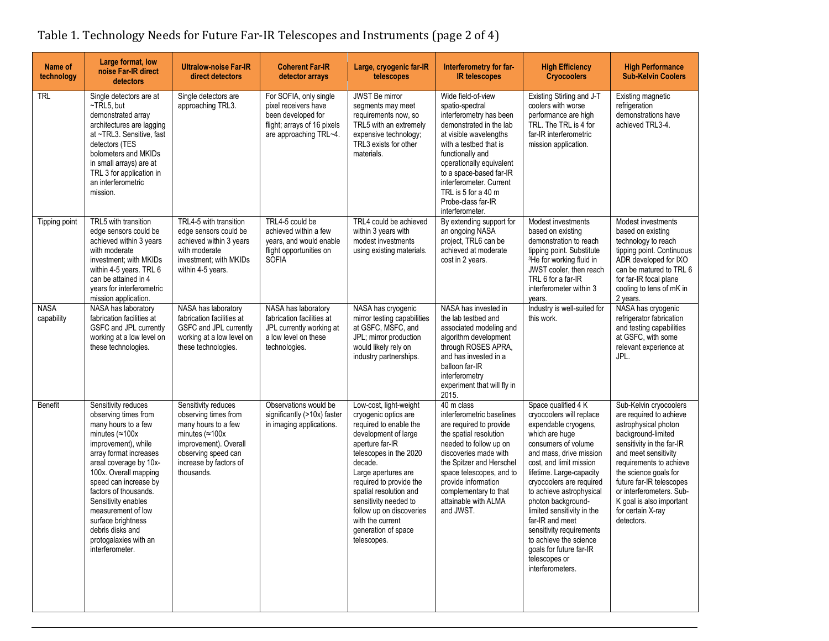| Name of<br>technology     | Large format, low<br>noise Far-IR direct<br>detectors                                                                                                                                                                                                                                                                                                                                   | <b>Ultralow-noise Far-IR</b><br>direct detectors                                                                                                                                      | <b>Coherent Far-IR</b><br>detector arrays                                                                                     | Large, cryogenic far-IR<br>telescopes                                                                                                                                                                                                                                                                                                               | Interferometry for far-<br><b>IR telescopes</b>                                                                                                                                                                                                                                                                       | <b>High Efficiency</b><br><b>Cryocoolers</b>                                                                                                                                                                                                                                                                                                                                                                                                            | <b>High Performance</b><br><b>Sub-Kelvin Coolers</b>                                                                                                                                                                                                                                                                            |
|---------------------------|-----------------------------------------------------------------------------------------------------------------------------------------------------------------------------------------------------------------------------------------------------------------------------------------------------------------------------------------------------------------------------------------|---------------------------------------------------------------------------------------------------------------------------------------------------------------------------------------|-------------------------------------------------------------------------------------------------------------------------------|-----------------------------------------------------------------------------------------------------------------------------------------------------------------------------------------------------------------------------------------------------------------------------------------------------------------------------------------------------|-----------------------------------------------------------------------------------------------------------------------------------------------------------------------------------------------------------------------------------------------------------------------------------------------------------------------|---------------------------------------------------------------------------------------------------------------------------------------------------------------------------------------------------------------------------------------------------------------------------------------------------------------------------------------------------------------------------------------------------------------------------------------------------------|---------------------------------------------------------------------------------------------------------------------------------------------------------------------------------------------------------------------------------------------------------------------------------------------------------------------------------|
| <b>TRL</b>                | Single detectors are at<br>$\neg$ TRL5, but<br>demonstrated array<br>architectures are lagging<br>at ~TRL3. Sensitive, fast<br>detectors (TES<br>bolometers and MKIDs<br>in small arrays) are at<br>TRL 3 for application in<br>an interferometric<br>mission.                                                                                                                          | Single detectors are<br>approaching TRL3.                                                                                                                                             | For SOFIA, only single<br>pixel receivers have<br>been developed for<br>flight; arrays of 16 pixels<br>are approaching TRL~4. | JWST Be mirror<br>segments may meet<br>requirements now, so<br>TRL5 with an extremely<br>expensive technology;<br>TRL3 exists for other<br>materials.                                                                                                                                                                                               | Wide field-of-view<br>spatio-spectral<br>interferometry has been<br>demonstrated in the lab<br>at visible wavelengths<br>with a testbed that is<br>functionally and<br>operationally equivalent<br>to a space-based far-IR<br>interferometer. Current<br>TRL is 5 for a 40 m<br>Probe-class far-IR<br>interferometer. | Existing Stirling and J-T<br>coolers with worse<br>performance are high<br>TRL. The TRL is 4 for<br>far-IR interferometric<br>mission application.                                                                                                                                                                                                                                                                                                      | Existing magnetic<br>refrigeration<br>demonstrations have<br>achieved TRL3-4.                                                                                                                                                                                                                                                   |
| Tipping point             | TRL5 with transition<br>edge sensors could be<br>achieved within 3 years<br>with moderate<br>investment; with MKIDs<br>within 4-5 years. TRL 6<br>can be attained in 4<br>years for interferometric<br>mission application.                                                                                                                                                             | TRL4-5 with transition<br>edge sensors could be<br>achieved within 3 years<br>with moderate<br>investment; with MKIDs<br>within 4-5 years.                                            | TRL4-5 could be<br>achieved within a few<br>years, and would enable<br>flight opportunities on<br><b>SOFIA</b>                | TRL4 could be achieved<br>within 3 years with<br>modest investments<br>using existing materials.                                                                                                                                                                                                                                                    | By extending support for<br>an ongoing NASA<br>project, TRL6 can be<br>achieved at moderate<br>cost in 2 years.                                                                                                                                                                                                       | Modest investments<br>based on existing<br>demonstration to reach<br>tipping point. Substitute<br><sup>3</sup> He for working fluid in<br>JWST cooler, then reach<br>TRL 6 for a far-IR<br>interferometer within 3<br>years.                                                                                                                                                                                                                            | Modest investments<br>based on existing<br>technology to reach<br>tipping point. Continuous<br>ADR developed for IXO<br>can be matured to TRL 6<br>for far-IR focal plane<br>cooling to tens of mK in<br>2 years.                                                                                                               |
| <b>NASA</b><br>capability | NASA has laboratory<br>fabrication facilities at<br>GSFC and JPL currently<br>working at a low level on<br>these technologies.                                                                                                                                                                                                                                                          | NASA has laboratory<br>fabrication facilities at<br>GSFC and JPL currently<br>working at a low level on<br>these technologies.                                                        | NASA has laboratory<br>fabrication facilities at<br>JPL currently working at<br>a low level on these<br>technologies.         | NASA has cryogenic<br>mirror testing capabilities<br>at GSFC, MSFC, and<br>JPL; mirror production<br>would likely rely on<br>industry partnerships.                                                                                                                                                                                                 | NASA has invested in<br>the lab testbed and<br>associated modeling and<br>algorithm development<br>through ROSES APRA,<br>and has invested in a<br>balloon far-IR<br>interferometry<br>experiment that will fly in<br>2015.                                                                                           | Industry is well-suited for<br>this work.                                                                                                                                                                                                                                                                                                                                                                                                               | NASA has cryogenic<br>refrigerator fabrication<br>and testing capabilities<br>at GSFC, with some<br>relevant experience at<br>JPL.                                                                                                                                                                                              |
| Benefit                   | Sensitivity reduces<br>observing times from<br>many hours to a few<br>minutes ( $\approx$ 100x<br>improvement), while<br>array format increases<br>areal coverage by 10x-<br>100x. Overall mapping<br>speed can increase by<br>factors of thousands.<br>Sensitivity enables<br>measurement of low<br>surface brightness<br>debris disks and<br>protogalaxies with an<br>interferometer. | Sensitivity reduces<br>observing times from<br>many hours to a few<br>minutes $(\approx 100x$<br>improvement). Overall<br>observing speed can<br>increase by factors of<br>thousands. | Observations would be<br>significantly (>10x) faster<br>in imaging applications.                                              | Low-cost, light-weight<br>cryogenic optics are<br>required to enable the<br>development of large<br>aperture far-IR<br>telescopes in the 2020<br>decade.<br>Large apertures are<br>required to provide the<br>spatial resolution and<br>sensitivity needed to<br>follow up on discoveries<br>with the current<br>generation of space<br>telescopes. | 40 m class<br>interferometric baselines<br>are required to provide<br>the spatial resolution<br>needed to follow up on<br>discoveries made with<br>the Spitzer and Herschel<br>space telescopes, and to<br>provide information<br>complementary to that<br>attainable with ALMA<br>and JWST.                          | Space qualified 4 K<br>cryocoolers will replace<br>expendable cryogens,<br>which are huge<br>consumers of volume<br>and mass, drive mission<br>cost, and limit mission<br>lifetime. Large-capacity<br>cryocoolers are required<br>to achieve astrophysical<br>photon background-<br>limited sensitivity in the<br>far-IR and meet<br>sensitivity requirements<br>to achieve the science<br>goals for future far-IR<br>telescopes or<br>interferometers. | Sub-Kelvin cryocoolers<br>are required to achieve<br>astrophysical photon<br>background-limited<br>sensitivity in the far-IR<br>and meet sensitivity<br>requirements to achieve<br>the science goals for<br>future far-IR telescopes<br>or interferometers. Sub-<br>K goal is also important<br>for certain X-ray<br>detectors. |

<u> 1980 - Johann Barbara, martxa amerikan personal (h. 1980).</u>

## Table 1. Technology Needs for Future Far-IR Telescopes and Instruments (page 2 of 4)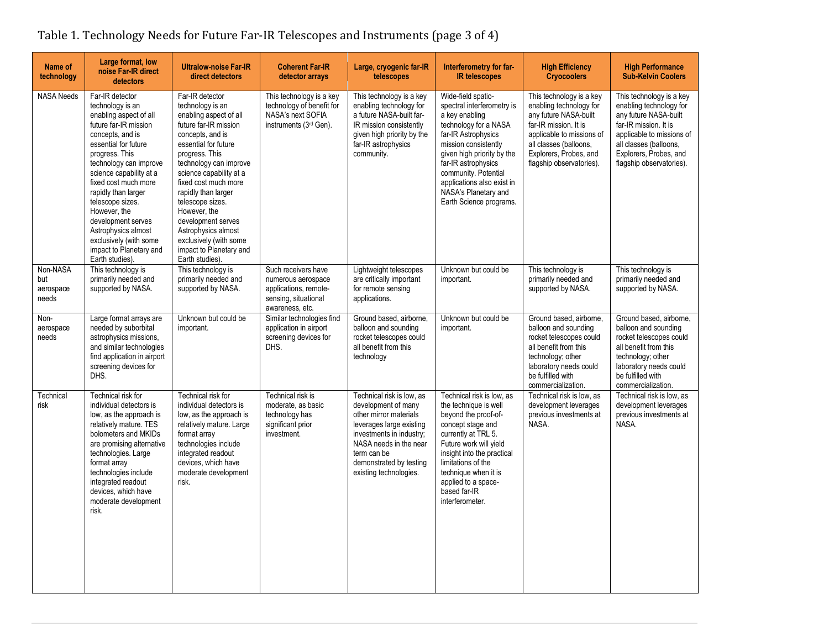| Name of<br>technology                 | Large format, low<br>noise Far-IR direct<br>detectors                                                                                                                                                                                                                                                                                                                                                             | <b>Ultralow-noise Far-IR</b><br>direct detectors                                                                                                                                                                                                                                                                                                                                                                  | <b>Coherent Far-IR</b><br>detector arrays                                                                     | Large, cryogenic far-IR<br>telescopes                                                                                                                                                                                            | Interferometry for far-<br><b>IR telescopes</b>                                                                                                                                                                                                                                                          | <b>High Efficiency</b><br><b>Cryocoolers</b>                                                                                                                                                                       | <b>High Performance</b><br><b>Sub-Kelvin Coolers</b>                                                                                                                                                               |
|---------------------------------------|-------------------------------------------------------------------------------------------------------------------------------------------------------------------------------------------------------------------------------------------------------------------------------------------------------------------------------------------------------------------------------------------------------------------|-------------------------------------------------------------------------------------------------------------------------------------------------------------------------------------------------------------------------------------------------------------------------------------------------------------------------------------------------------------------------------------------------------------------|---------------------------------------------------------------------------------------------------------------|----------------------------------------------------------------------------------------------------------------------------------------------------------------------------------------------------------------------------------|----------------------------------------------------------------------------------------------------------------------------------------------------------------------------------------------------------------------------------------------------------------------------------------------------------|--------------------------------------------------------------------------------------------------------------------------------------------------------------------------------------------------------------------|--------------------------------------------------------------------------------------------------------------------------------------------------------------------------------------------------------------------|
| <b>NASA Needs</b>                     | Far-IR detector<br>technology is an<br>enabling aspect of all<br>future far-IR mission<br>concepts, and is<br>essential for future<br>progress. This<br>technology can improve<br>science capability at a<br>fixed cost much more<br>rapidly than larger<br>telescope sizes.<br>However, the<br>development serves<br>Astrophysics almost<br>exclusively (with some<br>impact to Planetary and<br>Earth studies). | Far-IR detector<br>technology is an<br>enabling aspect of all<br>future far-IR mission<br>concepts, and is<br>essential for future<br>progress. This<br>technology can improve<br>science capability at a<br>fixed cost much more<br>rapidly than larger<br>telescope sizes.<br>However, the<br>development serves<br>Astrophysics almost<br>exclusively (with some<br>impact to Planetary and<br>Earth studies). | This technology is a key<br>technology of benefit for<br>NASA's next SOFIA<br>instruments (3rd Gen).          | This technology is a key<br>enabling technology for<br>a future NASA-built far-<br>IR mission consistently<br>given high priority by the<br>far-IR astrophysics<br>community.                                                    | Wide-field spatio-<br>spectral interferometry is<br>a key enabling<br>technology for a NASA<br>far-IR Astrophysics<br>mission consistently<br>given high priority by the<br>far-IR astrophysics<br>community. Potential<br>applications also exist in<br>NASA's Planetary and<br>Earth Science programs. | This technology is a key<br>enabling technology for<br>any future NASA-built<br>far-IR mission. It is<br>applicable to missions of<br>all classes (balloons,<br>Explorers, Probes, and<br>flagship observatories). | This technology is a key<br>enabling technology for<br>any future NASA-built<br>far-IR mission. It is<br>applicable to missions of<br>all classes (balloons,<br>Explorers, Probes, and<br>flagship observatories). |
| Non-NASA<br>but<br>aerospace<br>needs | This technology is<br>primarily needed and<br>supported by NASA.                                                                                                                                                                                                                                                                                                                                                  | This technology is<br>primarily needed and<br>supported by NASA.                                                                                                                                                                                                                                                                                                                                                  | Such receivers have<br>numerous aerospace<br>applications, remote-<br>sensing, situational<br>awareness, etc. | Lightweight telescopes<br>are critically important<br>for remote sensing<br>applications.                                                                                                                                        | Unknown but could be<br>important.                                                                                                                                                                                                                                                                       | This technology is<br>primarily needed and<br>supported by NASA.                                                                                                                                                   | This technology is<br>primarily needed and<br>supported by NASA.                                                                                                                                                   |
| Non-<br>aerospace<br>needs            | Large format arrays are<br>needed by suborbital<br>astrophysics missions.<br>and similar technologies<br>find application in airport<br>screening devices for<br>DHS.                                                                                                                                                                                                                                             | Unknown but could be<br>important.                                                                                                                                                                                                                                                                                                                                                                                | Similar technologies find<br>application in airport<br>screening devices for<br>DHS.                          | Ground based, airborne,<br>balloon and sounding<br>rocket telescopes could<br>all benefit from this<br>technology                                                                                                                | Unknown but could be<br>important.                                                                                                                                                                                                                                                                       | Ground based, airborne,<br>balloon and sounding<br>rocket telescopes could<br>all benefit from this<br>technology; other<br>laboratory needs could<br>be fulfilled with<br>commercialization.                      | Ground based, airborne,<br>balloon and sounding<br>rocket telescopes could<br>all benefit from this<br>technology; other<br>laboratory needs could<br>be fulfilled with<br>commercialization.                      |
| Technical<br>risk                     | Technical risk for<br>individual detectors is<br>low, as the approach is<br>relatively mature. TES<br>bolometers and MKIDs<br>are promising alternative<br>technologies. Large<br>format array<br>technologies include<br>integrated readout<br>devices, which have<br>moderate development<br>risk.                                                                                                              | Technical risk for<br>individual detectors is<br>low, as the approach is<br>relatively mature. Large<br>format array<br>technologies include<br>integrated readout<br>devices, which have<br>moderate development<br>risk.                                                                                                                                                                                        | Technical risk is<br>moderate, as basic<br>technology has<br>significant prior<br>investment.                 | Technical risk is low, as<br>development of many<br>other mirror materials<br>leverages large existing<br>investments in industry;<br>NASA needs in the near<br>term can be<br>demonstrated by testing<br>existing technologies. | Technical risk is low, as<br>the technique is well<br>beyond the proof-of-<br>concept stage and<br>currently at TRL 5.<br>Future work will yield<br>insight into the practical<br>limitations of the<br>technique when it is<br>applied to a space-<br>based far-IR<br>interferometer.                   | Technical risk is low, as<br>development leverages<br>previous investments at<br>NASA.                                                                                                                             | Technical risk is low, as<br>development leverages<br>previous investments at<br>NASA.                                                                                                                             |

Table 1. Technology Needs for Future Far-IR Telescopes and Instruments (page 3 of 4)